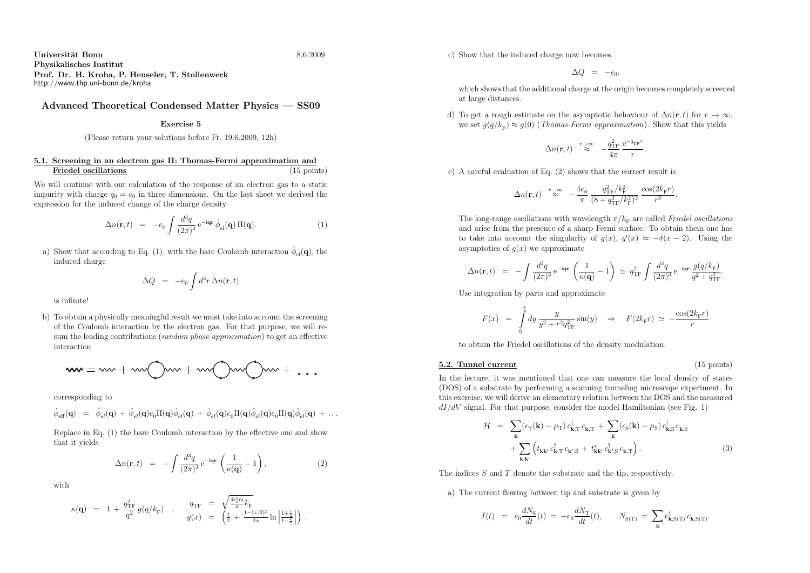Universit¨at Bonnn 8.6.2009 Physikalisches Institut Prof. Dr. H. Kroha, P. Henseler, T. Stollenwerkhttp://www.thp.uni-bonn.de/kroha

## Advanced Theoretical Condensed Matter Physics — SS09

## Exercise <sup>5</sup>

(Please return your solutions before Fr. 19.6.2009, 12h)

## 5.1. Screening in an electron gas II: Thomas-Fermi approximation and $\mathbf{s}$  (15 points) Friedel oscillations

We will continue with our calculation of the response of an electron gas to <sup>a</sup> static impurity with charge  $q_0 = e_0$  in three dimensions. On the last sheet we derived the expression for the induced change of the charge density

$$
\Delta n(\mathbf{r},t) = -e_0 \int \frac{d^3 q}{(2\pi)^3} e^{-i\mathbf{q}\mathbf{r}} \hat{\phi}_{el}(\mathbf{q}) \Pi(\mathbf{q}). \tag{1}
$$

a) Show that according to Eq. (1), with the bare Coulomb interaction  $\hat{\phi}_{el}(\mathbf{q})$ , the induced charge

$$
\Delta Q = -e_0 \int d^3 r \, \Delta n(\mathbf{r}, t)
$$

is infinite!

b) To obtain <sup>a</sup> <sup>p</sup>hysically meaningful result we must take into account the screening of the Coulomb interaction by the electron gas. For that purpose, we will resum the leading contributions (random phase approximation) to get an effective interaction

$$
ww = w + ww \bigoplus w + ww \bigoplus ww \bigoplus w + \dots
$$

corresponding to

$$
\hat{\phi}_{\text{eff}}(\mathbf{q})\;\;=\;\;\hat{\phi}_{el}(\mathbf{q})\,+\,\hat{\phi}_{el}(\mathbf{q})e_0\Pi(\mathbf{q})\hat{\phi}_{el}(\mathbf{q})\,+\,\hat{\phi}_{el}(\mathbf{q})e_0\Pi(\mathbf{q})\hat{\phi}_{el}(\mathbf{q})e_0\Pi(\mathbf{q})\hat{\phi}_{el}(\mathbf{q})\,+\,\ldots
$$

Replace in Eq. (1) the bare Coulomb interaction by the effective one and showthat it <sup>y</sup>ields

$$
\Delta n(\mathbf{r},t) = -\int \frac{d^3q}{(2\pi)^3} e^{-i\mathbf{q}\mathbf{r}} \left(\frac{1}{\kappa(\mathbf{q})} - 1\right), \tag{2}
$$

with

$$
\kappa(\mathbf{q}) = 1 + \frac{q_{\rm TF}^2}{q^2} g(q/k_{\rm F}) , \qquad \frac{q_{\rm TF}}{g(x)} = \begin{pmatrix} \frac{4e_0^2 m}{\pi} k_{\rm F} \\ \frac{1}{2} + \frac{1 - (x/2)^2}{2x} \ln \left| \frac{1 + \frac{x}{2}}{1 - \frac{x}{2}} \right| \end{pmatrix} .
$$

$$
\Delta Q = -e_0,
$$

which shows that the additional charge at the origin becomes completely screened at large distances.

d) To get a rough estimate on the asymptotic behaviour of  $\Delta n(\mathbf{r}, t)$  for  $r \to \infty$ , we set  $g(q/k_{\rm F}) \approx g(0)$  (*Thomas-Fermi approximation*). Show that this yields

$$
\Delta n(\mathbf{r}, t) \approx \frac{q_{\text{TF}}^2}{4\pi} \frac{e^{-q_{\text{TF}}r}}{r}
$$

e) <sup>A</sup> careful evaluation of Eq. (2) shows that the correct result is

$$
\Delta n(\mathbf{r},t) \stackrel{r\rightarrow\infty}{\approx} -\frac{4e_0}{\pi} \frac{q_{\textrm{TF}}^2/k_{\textrm{F}}^2}{(8+q_{\textrm{TF}}^2/k_{\textrm{F}}^2)^2} \frac{\cos(2k_{\textrm{F}}r)}{r^3}.
$$

The long-range oscillations with wavelength  $\pi/k_F$  are called Friedel oscillations and arise from the presence of <sup>a</sup> sharp Fermi surface. To obtain them one has to take into account the singularity of  $g(x)$ ,  $g'(x) \approx -\delta(x-2)$ . Using the asymptotics of  $q(x)$  we approximate

$$
\Delta n(\mathbf{r},t) \;\; = \;\; - \int \frac{d^3q}{(2\pi)^3} \, \mathrm{e}^{-\mathrm{i} \mathbf{q} \mathbf{r}} \, \left( \frac{1}{\kappa(\mathbf{q})} - 1 \right) \;\simeq\; q_{\mathrm{TF}}^2 \int \frac{d^3q}{(2\pi)^3} \, \mathrm{e}^{-\mathrm{i} \mathbf{q} \mathbf{r}} \, \frac{g(q/k_{\mathrm{F}})}{q^2 + q_{\mathrm{TF}}^2}
$$

Use integration by parts and approximate

5.2. Tunnel current

$$
F(x) = \int_{0}^{x} dy \frac{y}{y^2 + r^2 q_{\text{TF}}^2} \sin(y) \quad \Rightarrow \quad F(2k_{\text{F}}r) \, \simeq \, -\frac{\cos(2k_{\text{F}}r)}{r}
$$

to obtain the Friedel oscillations of the density modulation.

(15 points)

c) Show that the induced charge now becomes<br>
c) Show that the induced charge now becomes<br>
c)  $\Delta Q = -$ <br>
c) The get a routing between the asymptotics of  $\Delta n(r, t) = \frac{\alpha_0}{r}$ <br>
and<br>
c) A careful evaluation of Eq. (2) shows that In the lecture, it was mentioned that one can measure the local density of states (DOS) of <sup>a</sup> substrate by performing <sup>a</sup> scanning tunneling microscope experiment. In this exercise, we will derive an elementary relation between the DOS and the measured  $dI/dV$  signal. For that purpose, consider the model Hamiltonian (see Fig. 1)

$$
\mathcal{H} = \sum_{\mathbf{k}} (\epsilon_{\mathrm{T}}(\mathbf{k}) - \mu_{\mathrm{T}}) c_{\mathbf{k},\mathrm{T}}^{\dagger} c_{\mathbf{k},\mathrm{T}} + \sum_{\mathbf{k}} (\epsilon_{\mathrm{S}}(\mathbf{k}) - \mu_{\mathrm{S}}) c_{\mathbf{k},\mathrm{S}}^{\dagger} c_{\mathbf{k},\mathrm{S}} + \sum_{\mathbf{k},\mathbf{k'}} \left( t_{\mathbf{k}\mathbf{k'}} c_{\mathbf{k},\mathrm{T}}^{\dagger} c_{\mathbf{k'}}
$$
\n
$$
c_{\mathbf{k},\mathrm{S'}}^{\dagger} c_{\mathbf{k},\mathrm{S'}}^{\dagger} c_{\mathbf{k},\mathrm{S'}} + t_{\mathbf{k}\mathbf{k'}}^{\dagger} c_{\mathbf{k'}}
$$
\n
$$
\mathcal{H} = \sum_{\mathbf{k},\mathbf{k'}} \left( t_{\mathbf{k}\mathbf{k'}} c_{\mathbf{k},\mathrm{T}}^{\dagger} c_{\mathbf{k'}}
$$
\n
$$
\mathcal{H} = \sum_{\mathbf{k},\mathbf{k'}} \left( t_{\mathbf{k}\mathbf{k'}} c_{\mathbf{k},\mathrm{T}}^{\dagger} c_{\mathbf{k'}}
$$
\n
$$
\mathcal{H} = \sum_{\mathbf{k},\mathbf{k'}} \left( t_{\mathbf{k}} c_{\mathbf{k'}}^{\dagger} c_{\mathbf{k},\mathrm{T}}^{\dagger} c_{\mathbf{k'}}
$$
\n
$$
\mathcal{H} = \sum_{\mathbf{k},\mathbf{k'}} \left( t_{\mathbf{k}} c_{\mathbf{k'}} \right)^{\dagger} c_{\mathbf{k}}^{\dagger} c_{\mathbf{k'}}
$$
\n
$$
\tag{3}
$$

The indices S and T denote the substrate and the tip, respectively.

a) The current flowing between tip and substrate is <sup>g</sup>iven by

$$
I(t) \hspace{2mm} = \hspace{2mm} e_0 \frac{dN_\text{S}}{dt}(t) \hspace{2mm} = \hspace{2mm} -e_0 \frac{dN_\text{T}}{dt}(t), \hspace{2mm} N_\text{S(T)} \hspace{2mm} = \hspace{2mm} \sum_\mathbf{k} c_{\mathbf{k},\text{S(T)}}^\dagger \hspace{2mm} c_{\mathbf{k},\text{S(T)}}
$$

$$
6.2009\phantom{0000}
$$